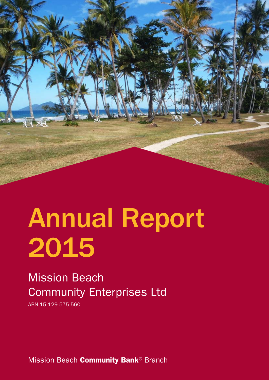

# Annual Report 2015

Mission Beach Community Enterprises Ltd

ABN 15 129 575 560

Mission Beach Community Bank<sup>®</sup> Branch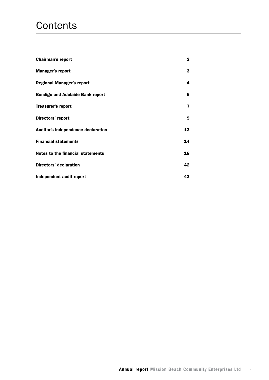## **Contents**

| <b>Chairman's report</b>                | $\mathbf{2}$ |
|-----------------------------------------|--------------|
| <b>Manager's report</b>                 | 3            |
| <b>Regional Manager's report</b>        | 4            |
| <b>Bendigo and Adelaide Bank report</b> | 5            |
| <b>Treasurer's report</b>               | 7            |
| Directors' report                       | 9            |
| Auditor's independence declaration      | 13           |
| <b>Financial statements</b>             | 14           |
| Notes to the financial statements       | 18           |
| Directors' declaration                  | 42           |
| Independent audit report                | 43           |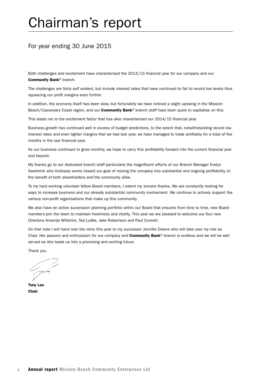## Chairman's report

## For year ending 30 June 2015

Both challenges and excitement have characterised the 2014/15 financial year for our company and our Community Bank® branch.

The challenges are fairly self evident, but include interest rates that have continued to fall to record low levels thus squeezing our profit margins even further.

In addition, the economy itself has been slow, but fortunately we have noticed a slight upswing in the Mission Beach/Cassowary Coast region, and our **Community Bank®** branch staff have been quick to capitalise on this.

This leads me to the excitement factor that has also characterised our 2014/15 financial year.

Business growth has continued well in excess of budget predictions, to the extent that, notwithstanding record low interest rates and even tighter margins that we had last year, we have managed to trade profitably for a total of five months in the last financial year.

As our business continues to grow monthly, we hope to carry this profitability forward into the current financial year and beyond.

My thanks go to our dedicated branch staff particularly the magnificent efforts of our Branch Manager Evelyn Swarbrick who tirelessly works toward our goal of moving the company into substantial and ongoing profitability, to the benefit of both shareholders and the community alike.

To my hard working volunteer fellow Board members, I extent my sincere thanks. We are constantly looking for ways to increase business and our already substantial community involvement. We continue to actively support the various non-profit organisations that make up this community.

We also have an active succession planning portfolio within our Board that ensures from time to time, new Board members join the team to maintain freshness and vitality. This year we are pleased to welcome our four new Directors Amanda Wiltshire, Ted Ludke, Jake Robertson and Paul Connell.

On that note I will hand over the reins this year to my successor Jennifer Downs who will take over my role as Chair. Her passion and enthusiasm for our company and **Community Bank®** branch is endless and we will be well served as she leads us into a promising and exciting future.

Thank you.

Tony Lee **Chair**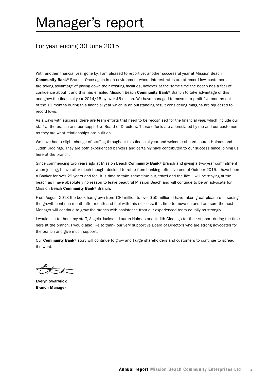## Manager's report

## For year ending 30 June 2015

With another financial year gone by, I am pleased to report yet another successful year at Mission Beach Community Bank® Branch. Once again in an environment where interest rates are at record low, customers are taking advantage of paying down their existing facilities, however at the same time the beach has a feel of confidence about it and this has enabled Mission Beach **Community Bank**® Branch to take advantage of this and grow the financial year 2014/15 by over \$5 million. We have managed to move into profit five months out of the 12 months during this financial year which is an outstanding result considering margins are squeezed to record lows.

As always with success, there are team efforts that need to be recognised for the financial year, which include our staff at the branch and our supportive Board of Directors. These efforts are appreciated by me and our customers as they are what relationships are built on.

We have had a slight change of staffing throughout this financial year and welcome aboard Lauren Haimes and Judith Giddings. They are both experienced bankers and certainly have contributed to our success since joining us here at the branch.

Since commencing two years ago at Mission Beach Community Bank<sup>®</sup> Branch and giving a two-year commitment when joining, I have after much thought decided to retire from banking, effective end of October 2015. I have been a Banker for over 29 years and feel it is time to take some time out, travel and the like. I will be staying at the beach as I have absolutely no reason to leave beautiful Mission Beach and will continue to be an advocate for Mission Beach Community Bank<sup>®</sup> Branch.

From August 2013 the book has grown from \$36 million to over \$50 million. I have taken great pleasure in seeing the growth continue month after month and feel with this success, it is time to move on and I am sure the next Manager will continue to grow the branch with assistance from our experienced team equally as strongly.

I would like to thank my staff, Angela Jackson, Lauren Haimes and Judith Giddings for their support during the time here at the branch. I would also like to thank our very supportive Board of Directors who are strong advocates for the branch and give much support.

Our Community Bank<sup>®</sup> story will continue to grow and I urge shareholders and customers to continue to spread the word.

Evelyn Swarbrick Branch Manager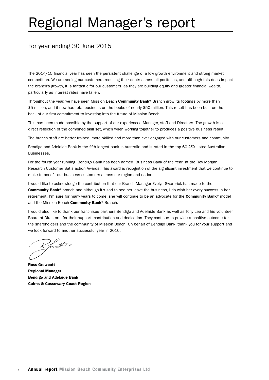## Regional Manager's report

## For year ending 30 June 2015

The 2014/15 financial year has seen the persistent challenge of a low growth environment and strong market competition. We are seeing our customers reducing their debts across all portfolios, and although this does impact the branch's growth, it is fantastic for our customers, as they are building equity and greater financial wealth, particularly as interest rates have fallen.

Throughout the year, we have seen Mission Beach Community Bank® Branch grow its footings by more than \$5 million, and it now has total business on the books of nearly \$50 million. This result has been built on the back of our firm commitment to investing into the future of Mission Beach.

This has been made possible by the support of our experienced Manager, staff and Directors. The growth is a direct reflection of the combined skill set, which when working together to produces a positive business result.

The branch staff are better trained, more skilled and more than ever engaged with our customers and community.

Bendigo and Adelaide Bank is the fifth largest bank in Australia and is rated in the top 60 ASX listed Australian Businesses.

For the fourth year running, Bendigo Bank has been named 'Business Bank of the Year' at the Roy Morgan Research Customer Satisfaction Awards. This award is recognition of the significant investment that we continue to make to benefit our business customers across our region and nation.

I would like to acknowledge the contribution that our Branch Manager Evelyn Swarbrick has made to the Community Bank<sup>®</sup> branch and although it's sad to see her leave the business, I do wish her every success in her retirement. I'm sure for many years to come, she will continue to be an advocate for the **Community Bank**® model and the Mission Beach **Community Bank®** Branch.

I would also like to thank our franchisee partners Bendigo and Adelaide Bank as well as Tony Lee and his volunteer Board of Directors, for their support, contribution and dedication. They continue to provide a positive outcome for the shareholders and the community of Mission Beach. On behalf of Bendigo Bank, thank you for your support and we look forward to another successful year in 2016.

Towet<sup>h</sup>

Ross Growcott Regional Manager Bendigo and Adelaide Bank Cairns & Cassowary Coast Region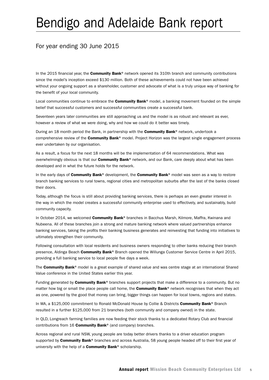## Bendigo and Adelaide Bank report

## For year ending 30 June 2015

In the 2015 financial year, the **Community Bank**® network opened its 310th branch and community contributions since the model's inception exceed \$130 million. Both of these achievements could not have been achieved without your ongoing support as a shareholder, customer and advocate of what is a truly unique way of banking for the benefit of your local community.

Local communities continue to embrace the **Community Bank®** model, a banking movement founded on the simple belief that successful customers and successful communities create a successful bank.

Seventeen years later communities are still approaching us and the model is as robust and relevant as ever, however a review of what we were doing, why and how we could do it better was timely.

During an 18 month period the Bank, in partnership with the **Community Bank**® network, undertook a comprehensive review of the **Community Bank®** model. Project Horizon was the largest single engagement process ever undertaken by our organisation.

As a result, a focus for the next 18 months will be the implementation of 64 recommendations. What was overwhelmingly obvious is that our **Community Bank®** network, and our Bank, care deeply about what has been developed and in what the future holds for the network.

In the early days of Community Bank® development, the Community Bank® model was seen as a way to restore branch banking services to rural towns, regional cities and metropolitan suburbs after the last of the banks closed their doors.

Today, although the focus is still about providing banking services, there is perhaps an even greater interest in the way in which the model creates a successful community enterprise used to effectively, and sustainably, build community capacity.

In October 2014, we welcomed **Community Bank®** branches in Bacchus Marsh, Kilmore, Maffra, Kwinana and Nubeena. All of these branches join a strong and mature banking network where valued partnerships enhance banking services, taking the profits their banking business generates and reinvesting that funding into initiatives to ultimately strengthen their community.

Following consultation with local residents and business owners responding to other banks reducing their branch presence, Aldinga Beach Community Bank® Branch opened the Willunga Customer Service Centre in April 2015, providing a full banking service to local people five days a week.

The Community Bank® model is a great example of shared value and was centre stage at an international Shared Value conference in the United States earlier this year.

Funding generated by **Community Bank®** branches support projects that make a difference to a community. But no matter how big or small the place people call home, the **Community Bank®** network recognises that when they act as one, powered by the good that money can bring, bigger things can happen for local towns, regions and states.

In WA, a \$125,000 commitment to Ronald McDonald House by Collie & Districts Community Bank® Branch resulted in a further \$125,000 from 21 branches (both community and company owned) in the state.

In QLD, Longreach farming families are now feeding their stock thanks to a dedicated Rotary Club and financial contributions from 16 **Community Bank**<sup>®</sup> (and company) branches.

Across regional and rural NSW, young people are today better drivers thanks to a driver education program supported by Community Bank® branches and across Australia, 58 young people headed off to their first year of university with the help of a **Community Bank®** scholarship.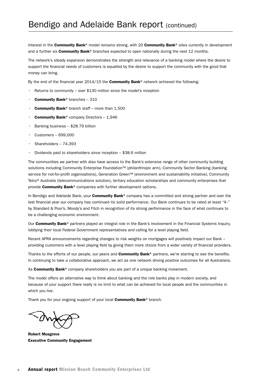Interest in the Community Bank® model remains strong, with 20 Community Bank® sites currently in development and a further six **Community Bank®** branches expected to open nationally during the next 12 months.

The network's steady expansion demonstrates the strength and relevance of a banking model where the desire to support the financial needs of customers is equalled by the desire to support the community with the good that money can bring.

By the end of the financial year  $2014/15$  the **Community Bank**<sup>®</sup> network achieved the following:

- Returns to community over  $$130$  million since the model's inception
- **Community Bank®** branches  $-310$
- **Community Bank®** branch staff more than  $1,500$
- **Community Bank®** company Directors  $1,946$
- Banking business  $-$  \$28.79 billion
- Customers 699,000
- Shareholders 74,393
- Dividends paid to shareholders since inception  $-$  \$38.6 million

The communities we partner with also have access to the Bank's extensive range of other community building solutions including Community Enterprise Foundation™ (philanthropic arm), Community Sector Banking (banking service for not-for-profit organisations), Generation Green™ (environment and sustainability initiative), Community Telco® Australia (telecommunications solution), tertiary education scholarships and community enterprises that provide **Community Bank®** companies with further development options.

In Bendigo and Adelaide Bank, your **Community Bank®** company has a committed and strong partner and over the last financial year our company has continued its solid performance. Our Bank continues to be rated at least "A-" by Standard & Poor's, Moody's and Fitch in recognition of its strong performance in the face of what continues to be a challenging economic environment.

Our Community Bank® partners played an integral role in the Bank's involvement in the Financial Systems Inquiry, lobbying their local Federal Government representatives and calling for a level playing field.

Recent APRA announcements regarding changes to risk weights on mortgages will positively impact our Bank – providing customers with a level playing field by giving them more choice from a wider variety of financial providers.

Thanks to the efforts of our people, our peers and **Community Bank®** partners, we're starting to see the benefits. In continuing to take a collaborative approach, we act as one network driving positive outcomes for all Australians.

As **Community Bank®** company shareholders you are part of a unique banking movement.

The model offers an alternative way to think about banking and the role banks play in modern society, and because of your support there really is no limit to what can be achieved for local people and the communities in which you live.

Thank you for your ongoing support of your local **Community Bank**® branch.

Robert Musgrove Executive Community Engagement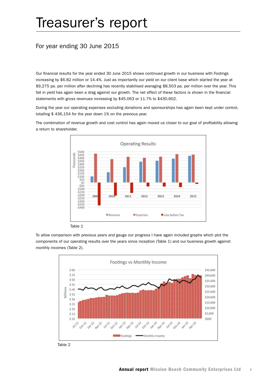## Treasurer's report

## For year ending 30 June 2015

Our financial results for the year ended 30 June 2015 shows continued growth in our business with Footings increasing by \$6.82 million or 14.4%. Just as importantly our yield on our client base which started the year at \$9,275 pa. per million after declining has recently stabilised averaging \$8,503 pa. per million over the year. This fall in yield has again been a drag against our growth. The net effect of these factors is shown in the financial statements with gross revenues increasing by \$45,063 or 11.7% to \$430,602.

During the year our operating expenses excluding donations and sponsorships has again been kept under control, totalling \$ 436,154 for the year down 1% on the previous year.

The combination of revenue growth and cost control has again moved us closer to our goal of profitability allowing a return to shareholder.



Table 1

To allow comparison with previous years and gauge our progress I have again included graphs which plot the components of our operating results over the years since inception (Table 1) and our business growth against monthly incomes (Table 2).



Table 2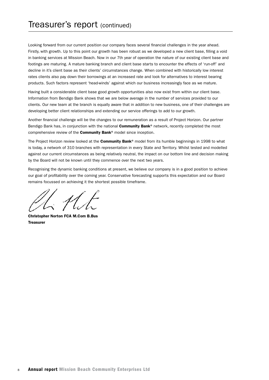Looking forward from our current position our company faces several financial challenges in the year ahead. Firstly, with growth. Up to this point our growth has been robust as we developed a new client base, filling a void in banking services at Mission Beach. Now in our 7th year of operation the nature of our existing client base and footings are maturing. A mature banking branch and client base starts to encounter the effects of 'run-off' and decline in it's client base as their clients' circumstances change. When combined with historically low interest rates clients also pay down their borrowings at an increased rate and look for alternatives to interest bearing products. Such factors represent 'head-winds' against which our business increasingly face as we mature.

Having built a considerable client base good growth opportunities also now exist from within our client base. Information from Bendigo Bank shows that we are below average in the number of services provided to our clients. Our new team at the branch is equally aware that in addition to new business, one of their challenges are developing better client relationships and extending our service offerings to add to our growth.

Another financial challenge will be the changes to our remuneration as a result of Project Horizon. Our partner Bendigo Bank has, in conjunction with the national **Community Bank®** network, recently completed the most comprehensive review of the **Community Bank®** model since inception.

The Project Horizon review looked at the **Community Bank®** model from its humble beginnings in 1998 to what is today, a network of 310 branches with representation in every State and Territory. Whilst tested and modelled against our current circumstances as being relatively neutral, the impact on our bottom line and decision making by the Board will not be known until they commence over the next two years.

Recognising the dynamic banking conditions at present, we believe our company is in a good position to achieve our goal of profitability over the coming year. Conservative forecasting supports this expectation and our Board remains focussed on achieving it the shortest possible timeframe.

Christopher Norton FCA M.Com B.Bus **Treasurer**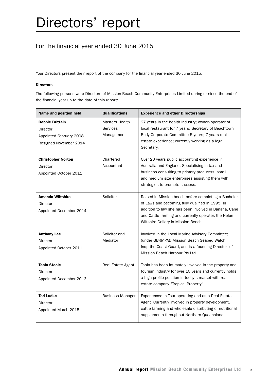## For the financial year ended 30 June 2015

Your Directors present their report of the company for the financial year ended 30 June 2015.

#### **Directors**

The following persons were Directors of Mission Beach Community Enterprises Limited during or since the end of the financial year up to the date of this report:

| Name and position held                                                                  | <b>Qualifications</b>                                  | <b>Experience and other Directorships</b>                                                                                                                                                                                                                       |
|-----------------------------------------------------------------------------------------|--------------------------------------------------------|-----------------------------------------------------------------------------------------------------------------------------------------------------------------------------------------------------------------------------------------------------------------|
| <b>Debbie Brittain</b><br>Director<br>Appointed February 2008<br>Resigned November 2014 | <b>Masters Health</b><br><b>Services</b><br>Management | 27 years in the health industry; owner/operator of<br>local restaurant for 7 years; Secretary of Beachtown<br>Body Corporate Committee 5 years; 7 years real<br>estate experience; currently working as a legal<br>Secretary.                                   |
| <b>Christopher Norton</b><br>Director<br>Appointed October 2011                         | Chartered<br>Accountant                                | Over 20 years public accounting experience in<br>Australia and England. Specialising in tax and<br>business consulting to primary producers, small<br>and medium size enterprises assisting them with<br>strategies to promote success.                         |
| <b>Amanda Wiltshire</b><br>Director<br>Appointed December 2014                          | Solicitor                                              | Raised in Mission beach before completing a Bachelor<br>of Laws and becoming fully qualified in 1995. In<br>addition to law she has been involved in Banana, Cane<br>and Cattle farming and currently operates the Helen<br>Wiltshire Gallery in Mission Beach. |
| <b>Anthony Lee</b><br><b>Director</b><br>Appointed October 2011                         | Solicitor and<br>Mediator                              | Involved in the Local Marine Advisory Committee;<br>(under GBRMPA); Mission Beach Seabed Watch<br>Inc; the Coast Guard, and is a founding Director of<br>Mission Beach Harbour Pty Ltd.                                                                         |
| <b>Tania Steele</b><br>Director<br>Appointed December 2013                              | Real Estate Agent                                      | Tania has been intimately involved in the property and<br>tourism industry for over 10 years and currently holds<br>a high profile position in today's market with real<br>estate company "Tropical Property".                                                  |
| <b>Ted Ludke</b><br>Director<br>Appointed March 2015                                    | <b>Business Manager</b>                                | Experienced in Tour operating and as a Real Estate<br>Agent Currently involved in property development,<br>cattle farming and wholesale distributing of nutritional<br>supplements throughout Northern Queensland.                                              |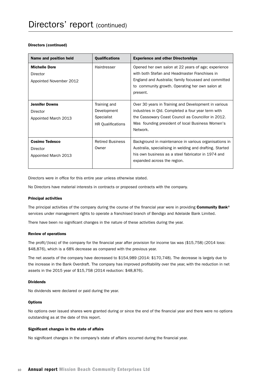#### Directors (continued)

| Name and position held                                      | <b>Qualifications</b>                                                        | <b>Experience and other Directorships</b>                                                                                                                                                                                        |
|-------------------------------------------------------------|------------------------------------------------------------------------------|----------------------------------------------------------------------------------------------------------------------------------------------------------------------------------------------------------------------------------|
| <b>Michelle Dore</b><br>Director<br>Appointed November 2012 | Hairdresser                                                                  | Opened her own salon at 22 years of age; experience<br>with both Stefan and Headmaster Franchises in<br>England and Australia; family focussed and committed<br>to community growth. Operating her own salon at<br>present.      |
| <b>Jennifer Downs</b><br>Director<br>Appointed March 2013   | Training and<br>Development<br><b>Specialist</b><br><b>HR Qualifications</b> | Over 30 years in Training and Development in various<br>industries in Old. Completed a four year term with<br>the Cassowary Coast Council as Councillor in 2012.<br>Was founding president of local Business Women's<br>Network. |
| <b>Cosimo Tedesco</b><br>Director<br>Appointed March 2013   | <b>Retired Business</b><br>Owner                                             | Background in maintenance in various organisations in<br>Australia, specialising in welding and drafting. Started<br>his own business as a steel fabricator in 1974 and<br>expanded across the region.                           |

Directors were in office for this entire year unless otherwise stated.

No Directors have material interests in contracts or proposed contracts with the company.

#### Principal activities

The principal activities of the company during the course of the financial year were in providing Community Bank® services under management rights to operate a franchised branch of Bendigo and Adelaide Bank Limited.

There have been no significant changes in the nature of these activities during the year.

#### Review of operations

The profit/(loss) of the company for the financial year after provision for income tax was (\$15,758) (2014 loss: \$48,876), which is a 68% decrease as compared with the previous year.

The net assets of the company have decreased to \$154,989 (2014: \$170,748). The decrease is largely due to the increase in the Bank Overdraft. The company has improved profitability over the year, with the reduction in net assets in the 2015 year of \$15,758 (2014 reduction: \$48,876).

#### Dividends

No dividends were declared or paid during the year.

#### **Options**

No options over issued shares were granted during or since the end of the financial year and there were no options outstanding as at the date of this report.

#### Significant changes in the state of affairs

No significant changes in the company's state of affairs occurred during the financial year.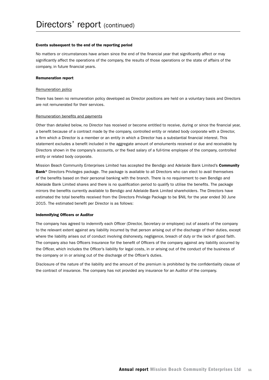#### Events subsequent to the end of the reporting period

No matters or circumstances have arisen since the end of the financial year that significantly affect or may significantly affect the operations of the company, the results of those operations or the state of affairs of the company, in future financial years.

#### Remuneration report

#### Remuneration policy

There has been no remuneration policy developed as Director positions are held on a voluntary basis and Directors are not remunerated for their services.

#### Remuneration benefits and payments

Other than detailed below, no Director has received or become entitled to receive, during or since the financial year, a benefit because of a contract made by the company, controlled entity or related body corporate with a Director, a firm which a Director is a member or an entity in which a Director has a substantial financial interest. This statement excludes a benefit included in the aggregate amount of emoluments received or due and receivable by Directors shown in the company's accounts, or the fixed salary of a full-time employee of the company, controlled entity or related body corporate.

Mission Beach Community Enterprises Limited has accepted the Bendigo and Adelaide Bank Limited's Community Bank<sup>®</sup> Directors Privileges package. The package is available to all Directors who can elect to avail themselves of the benefits based on their personal banking with the branch. There is no requirement to own Bendigo and Adelaide Bank Limited shares and there is no qualification period to qualify to utilise the benefits. The package mirrors the benefits currently available to Bendigo and Adelaide Bank Limited shareholders. The Directors have estimated the total benefits received from the Directors Privilege Package to be \$NIL for the year ended 30 June 2015. The estimated benefit per Director is as follows:

#### Indemnifying Officers or Auditor

The company has agreed to indemnify each Officer (Director, Secretary or employee) out of assets of the company to the relevant extent against any liability incurred by that person arising out of the discharge of their duties, except where the liability arises out of conduct involving dishonesty, negligence, breach of duty or the lack of good faith. The company also has Officers Insurance for the benefit of Officers of the company against any liability occurred by the Officer, which includes the Officer's liability for legal costs, in or arising out of the conduct of the business of the company or in or arising out of the discharge of the Officer's duties.

Disclosure of the nature of the liability and the amount of the premium is prohibited by the confidentiality clause of the contract of insurance. The company has not provided any insurance for an Auditor of the company.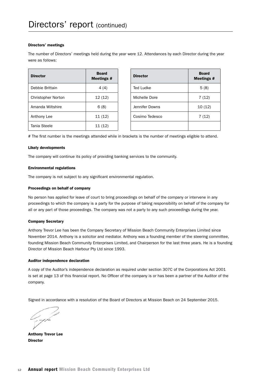#### Directors' meetings

The number of Directors' meetings held during the year were 12. Attendances by each Director during the year were as follows:

| <b>Director</b>           | <b>Board</b><br>Meetings # |
|---------------------------|----------------------------|
| Debbie Brittain           | 4(4)                       |
| <b>Christopher Norton</b> | 12(12)                     |
| Amanda Wiltshire          | 6(8)                       |
| Anthony Lee               | 11(12)                     |
| Tania Steele              | 11(12)                     |

| <b>Board</b><br>Meetings # | <b>Director</b> | <b>Board</b><br><b>Meetings #</b> |
|----------------------------|-----------------|-----------------------------------|
| 4 (4)                      | Ted Ludke       | 5(8)                              |
| 12(12)                     | Michelle Dore   | 7(12)                             |
| 6(8)                       | Jennifer Downs  | 10(12)                            |
| 11(12)                     | Cosimo Tedesco  | 7(12)                             |
| 11 (12)                    |                 |                                   |

# The first number is the meetings attended while in brackets is the number of meetings eligible to attend.

#### Likely developments

The company will continue its policy of providing banking services to the community.

#### Environmental regulations

The company is not subject to any significant environmental regulation.

#### Proceedings on behalf of company

No person has applied for leave of court to bring proceedings on behalf of the company or intervene in any proceedings to which the company is a party for the purpose of taking responsibility on behalf of the company for all or any part of those proceedings. The company was not a party to any such proceedings during the year.

#### Company Secretary

Anthony Trevor Lee has been the Company Secretary of Mission Beach Community Enterprises Limited since November 2014. Anthony is a solicitor and mediator. Anthony was a founding member of the steering committee, founding Mission Beach Community Enterprises Limited, and Chairperson for the last three years. He is a founding Director of Mission Beach Harbour Pty Ltd since 1993.

#### Auditor independence declaration

A copy of the Auditor's independence declaration as required under section 307C of the Corporations Act 2001 is set at page 13 of this financial report. No Officer of the company is or has been a partner of the Auditor of the company.

Signed in accordance with a resolution of the Board of Directors at Mission Beach on 24 September 2015.

Anthony Trevor Lee **Director**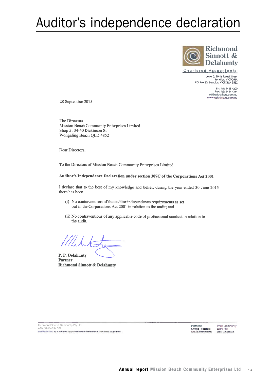## Auditor's independence declaration



Chartered Accountants Level 2, 10-16 Forest Street Ector<sub>27</sub> to techosical<br>Bendigo, VICTORIA<br>PO Box 30, Bendigo VICTORIA 3552

> Ph: (03) 5445 4200<br>Fax: (03) 5444 4344 rsd@rsdadvisors.com.au<br>www.rsdadvisors.com.au

28 September 2015

The Directors Mission Beach Community Enterprises Limited Shop 5, 34-40 Dickinson St Wongaling Beach QLD 4852

Dear Directors,

To the Directors of Mission Beach Community Enterprises Limited

#### Auditor's Independence Declaration under section 307C of the Corporations Act 2001

I declare that to the best of my knowledge and belief, during the year ended 30 June 2015 there has been:

- (i) No contraventions of the auditor independence requirements as set out in the Corporations Act 2001 in relation to the audit; and
- (ii) No contraventions of any applicable code of professional conduct in relation to the audit.

P. P. Delahunty Partner **Richmond Sinnott & Delahunty** 



**Philip Delahunty** Cara Hall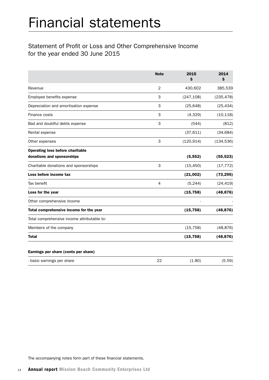## Financial statements

## Statement of Profit or Loss and Other Comprehensive Income for the year ended 30 June 2015

|                                                                       | <b>Note</b>    | 2015<br>\$ | 2014<br>\$ |
|-----------------------------------------------------------------------|----------------|------------|------------|
| Revenue                                                               | $\overline{2}$ | 430,602    | 385,539    |
| Employee benefits expense                                             | 3              | (247, 108) | (235, 478) |
| Depreciation and amortisation expense                                 | 3              | (25, 648)  | (25, 434)  |
| Finance costs                                                         | 3              | (4,329)    | (10, 118)  |
| Bad and doubtful debts expense                                        | 3              | (544)      | (812)      |
| Rental expense                                                        |                | (37, 611)  | (34, 684)  |
| Other expenses                                                        | 3              | (120, 914) | (134, 536) |
| <b>Operating loss before charitable</b><br>donations and sponsorships |                | (5, 552)   | (55, 523)  |
| Charitable donations and sponsorships                                 | 3              | (15, 450)  | (17, 772)  |
| Loss before income tax                                                |                | (21,002)   | (73, 295)  |
| Tax benefit                                                           | 4              | (5, 244)   | (24, 419)  |
| Loss for the year                                                     |                | (15, 758)  | (48, 876)  |
| Other comprehensive income                                            |                |            |            |
| Total comprehensive income for the year                               |                | (15, 758)  | (48, 876)  |
| Total comprehensive income attributable to:                           |                |            |            |
| Members of the company                                                |                | (15, 758)  | (48, 876)  |
| <b>Total</b>                                                          |                | (15, 758)  | (48, 876)  |
| Earnings per share (cents per share)                                  |                |            |            |
| - basic earnings per share                                            | 22             | (1.80)     | (5.59)     |

The accompanying notes form part of these financial statements.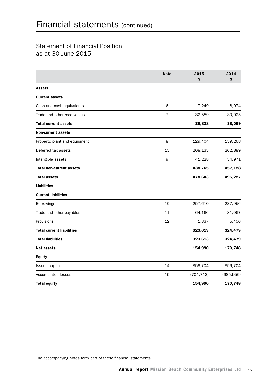## Statement of Financial Position as at 30 June 2015

|                                  | <b>Note</b> | 2015<br>\$ | 2014<br>\$ |
|----------------------------------|-------------|------------|------------|
| Assets                           |             |            |            |
| <b>Current assets</b>            |             |            |            |
| Cash and cash equivalents        | 6           | 7,249      | 8,074      |
| Trade and other receivables      | 7           | 32,589     | 30,025     |
| <b>Total current assets</b>      |             | 39,838     | 38,099     |
| <b>Non-current assets</b>        |             |            |            |
| Property, plant and equipment    | 8           | 129,404    | 139,268    |
| Deferred tax assets              | 13          | 268,133    | 262,889    |
| Intangible assets                | 9           | 41,228     | 54,971     |
| <b>Total non-current assets</b>  |             | 438,765    | 457,128    |
| <b>Total assets</b>              |             | 478,603    | 495,227    |
| <b>Liabilities</b>               |             |            |            |
| <b>Current liabilities</b>       |             |            |            |
| Borrowings                       | 10          | 257,610    | 237,956    |
| Trade and other payables         | 11          | 64,166     | 81,067     |
| Provisions                       | 12          | 1,837      | 5,456      |
| <b>Total current liabilities</b> |             | 323,613    | 324,479    |
| <b>Total liabilities</b>         |             | 323,613    | 324,479    |
| Net assets                       |             | 154,990    | 170,748    |
| <b>Equity</b>                    |             |            |            |
| Issued capital                   | 14          | 856,704    | 856,704    |
| <b>Accumulated losses</b>        | 15          | (701, 713) | (685, 956) |
| <b>Total equity</b>              |             | 154,990    | 170,748    |

The accompanying notes form part of these financial statements.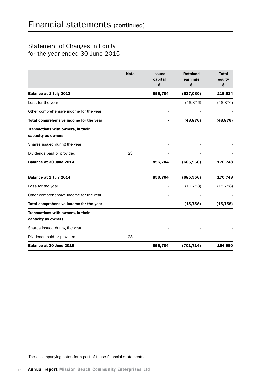## Statement of Changes in Equity for the year ended 30 June 2015

|                                                          | <b>Note</b> | <b>Issued</b><br>capital<br>\$ | <b>Retained</b><br>earnings<br>\$ | <b>Total</b><br>equity<br>\$ |
|----------------------------------------------------------|-------------|--------------------------------|-----------------------------------|------------------------------|
| Balance at 1 July 2013                                   |             | 856,704                        | (637,080)                         | 219,624                      |
| Loss for the year                                        |             |                                | (48, 876)                         | (48, 876)                    |
| Other comprehensive income for the year                  |             |                                |                                   |                              |
| Total comprehensive income for the year                  |             |                                | (48, 876)                         | (48, 876)                    |
| Transactions with owners, in their<br>capacity as owners |             |                                |                                   |                              |
| Shares issued during the year                            |             |                                |                                   |                              |
| Dividends paid or provided                               | 23          |                                |                                   |                              |
| Balance at 30 June 2014                                  |             | 856,704                        | (685, 956)                        | 170,748                      |
| Balance at 1 July 2014                                   |             | 856,704                        | (685, 956)                        | 170,748                      |
| Loss for the year                                        |             |                                | (15, 758)                         | (15, 758)                    |
| Other comprehensive income for the year                  |             |                                |                                   |                              |
| Total comprehensive income for the year                  |             |                                | (15, 758)                         | (15, 758)                    |
| Transactions with owners, in their<br>capacity as owners |             |                                |                                   |                              |
| Shares issued during the year                            |             |                                |                                   |                              |
| Dividends paid or provided                               | 23          |                                |                                   |                              |
| Balance at 30 June 2015                                  |             | 856,704                        | (701, 714)                        | 154,990                      |

The accompanying notes form part of these financial statements.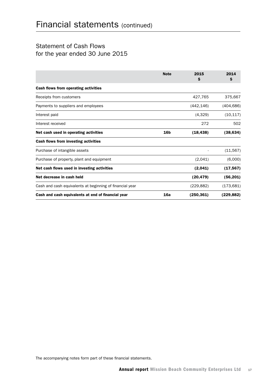## Statement of Cash Flows for the year ended 30 June 2015

|                                                          | <b>Note</b> | 2015<br>\$ | 2014<br>\$ |
|----------------------------------------------------------|-------------|------------|------------|
| Cash flows from operating activities                     |             |            |            |
| Receipts from customers                                  |             | 427,765    | 375,667    |
| Payments to suppliers and employees                      |             | (442, 146) | (404, 686) |
| Interest paid                                            |             | (4,329)    | (10, 117)  |
| Interest received                                        |             | 272        | 502        |
| Net cash used in operating activities                    | <b>16b</b>  | (18, 438)  | (38, 634)  |
| Cash flows from investing activities                     |             |            |            |
| Purchase of intangible assets                            |             |            | (11, 567)  |
| Purchase of property, plant and equipment                |             | (2,041)    | (6,000)    |
| Net cash flows used in investing activities              |             | (2,041)    | (17, 567)  |
| Net decrease in cash held                                |             | (20, 479)  | (56, 201)  |
| Cash and cash equivalents at beginning of financial year |             | (229, 882) | (173, 681) |
| Cash and cash equivalents at end of financial year       | 16a         | (250, 361) | (229, 882) |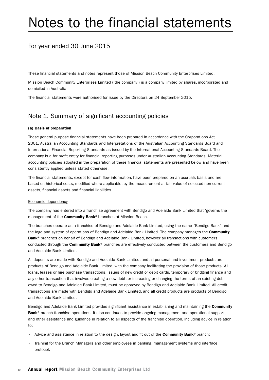## Notes to the financial statements

## For year ended 30 June 2015

These financial statements and notes represent those of Mission Beach Community Enterprises Limited.

Mission Beach Community Enterprises Limited ('the company') is a company limited by shares, incorporated and domiciled in Australia.

The financial statements were authorised for issue by the Directors on 24 September 2015.

### Note 1. Summary of significant accounting policies

#### (a) Basis of preparation

These general purpose financial statements have been prepared in accordance with the Corporations Act 2001, Australian Accounting Standards and Interpretations of the Australian Accounting Standards Board and International Financial Reporting Standards as issued by the International Accounting Standards Board. The company is a for profit entity for financial reporting purposes under Australian Accounting Standards. Material accounting policies adopted in the preparation of these financial statements are presented below and have been consistently applied unless stated otherwise.

The financial statements, except for cash flow information, have been prepared on an accruals basis and are based on historical costs, modified where applicable, by the measurement at fair value of selected non current assets, financial assets and financial liabilities.

#### Economic dependency

The company has entered into a franchise agreement with Bendigo and Adelaide Bank Limited that 'governs the management of the **Community Bank®** branches at Mission Beach.

The branches operate as a franchise of Bendigo and Adelaide Bank Limited, using the name "Bendigo Bank" and the logo and system of operations of Bendigo and Adelaide Bank Limited. The company manages the Community Bank<sup>®</sup> branches on behalf of Bendigo and Adelaide Bank Limited, however all transactions with customers conducted through the **Community Bank®** branches are effectively conducted between the customers and Bendigo and Adelaide Bank Limited.

All deposits are made with Bendigo and Adelaide Bank Limited, and all personal and investment products are products of Bendigo and Adelaide Bank Limited, with the company facilitating the provision of those products. All loans, leases or hire purchase transactions, issues of new credit or debit cards, temporary or bridging finance and any other transaction that involves creating a new debt, or increasing or changing the terms of an existing debt owed to Bendigo and Adelaide Bank Limited, must be approved by Bendigo and Adelaide Bank Limited. All credit transactions are made with Bendigo and Adelaide Bank Limited, and all credit products are products of Bendigo and Adelaide Bank Limited.

Bendigo and Adelaide Bank Limited provides significant assistance in establishing and maintaining the Community Bank<sup>®</sup> branch franchise operations. It also continues to provide ongoing management and operational support, and other assistance and guidance in relation to all aspects of the franchise operation, including advice in relation to:

- Advice and assistance in relation to the design, layout and fit out of the **Community Bank**<sup>®</sup> branch:
- Training for the Branch Managers and other employees in banking, management systems and interface protocol;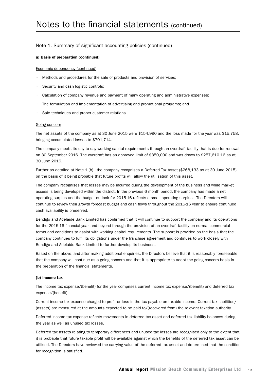#### a) Basis of preparation (continued)

#### Economic dependency (continued)

- Methods and procedures for the sale of products and provision of services:
- • Security and cash logistic controls;
- Calculation of company revenue and payment of many operating and administrative expenses;
- The formulation and implementation of advertising and promotional programs; and
- • Sale techniques and proper customer relations.

#### Going concern

The net assets of the company as at 30 June 2015 were \$154,990 and the loss made for the year was \$15,758, bringing accumulated losses to \$701,714.

The company meets its day to day working capital requirements through an overdraft facility that is due for renewal on 30 September 2016. The overdraft has an approved limit of \$350,000 and was drawn to \$257,610.16 as at 30 June 2015.

Further as detailed at Note 1 (b) , the company recognises a Deferred Tax Asset (\$268,133 as at 30 June 2015) on the basis of it being probable that future profits will allow the utilisation of this asset.

The company recognises that losses may be incurred during the development of the business and while market access is being developed within the district. In the previous 6 month period, the company has made a net operating surplus and the budget outlook for 2015-16 reflects a small operating surplus. The Directors will continue to review their growth forecast budget and cash flows throughout the 2015-16 year to ensure continued cash availability is preserved.

Bendigo and Adelaide Bank Limited has confirmed that it will continue to support the company and its operations for the 2015-16 financial year, and beyond through the provision of an overdraft facility on normal commercial terms and conditions to assist with working capital requirements. The support is provided on the basis that the company continues to fulfil its obligations under the franchise agreement and continues to work closely with Bendigo and Adelaide Bank Limited to further develop its business.

Based on the above, and after making additional enquiries, the Directors believe that it is reasonably foreseeable that the company will continue as a going concern and that it is appropriate to adopt the going concern basis in the preparation of the financial statements.

#### (b) Income tax

The income tax expense/(benefit) for the year comprises current income tax expense/(benefit) and deferred tax expense/(benefit).

Current income tax expense charged to profit or loss is the tax payable on taxable income. Current tax liabilities/ (assets) are measured at the amounts expected to be paid to/(recovered from) the relevant taxation authority.

Deferred income tax expense reflects movements in deferred tax asset and deferred tax liability balances during the year as well as unused tax losses.

Deferred tax assets relating to temporary differences and unused tax losses are recognised only to the extent that it is probable that future taxable profit will be available against which the benefits of the deferred tax asset can be utilised. The Directors have reviewed the carrying value of the deferred tax asset and determined that the condition for recognition is satisfied.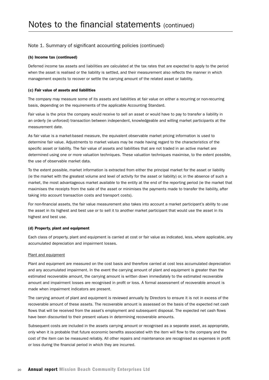#### (b) Income tax (continued)

Deferred income tax assets and liabilities are calculated at the tax rates that are expected to apply to the period when the asset is realised or the liability is settled, and their measurement also reflects the manner in which management expects to recover or settle the carrying amount of the related asset or liability.

#### (c) Fair value of assets and liabilities

The company may measure some of its assets and liabilities at fair value on either a recurring or non-recurring basis, depending on the requirements of the applicable Accounting Standard.

Fair value is the price the company would receive to sell an asset or would have to pay to transfer a liability in an orderly (ie unforced) transaction between independent, knowledgeable and willing market participants at the measurement date.

As fair value is a market-based measure, the equivalent observable market pricing information is used to determine fair value. Adjustments to market values may be made having regard to the characteristics of the specific asset or liability. The fair value of assets and liabilities that are not traded in an active market are determined using one or more valuation techniques. These valuation techniques maximise, to the extent possible, the use of observable market data.

To the extent possible, market information is extracted from either the principal market for the asset or liability (ie the market with the greatest volume and level of activity for the asset or liability) or, in the absence of such a market, the most advantageous market available to the entity at the end of the reporting period (ie the market that maximises the receipts from the sale of the asset or minimises the payments made to transfer the liability, after taking into account transaction costs and transport costs).

For non-financial assets, the fair value measurement also takes into account a market participant's ability to use the asset in its highest and best use or to sell it to another market participant that would use the asset in its highest and best use.

#### (d) Property, plant and equipment

Each class of property, plant and equipment is carried at cost or fair value as indicated, less, where applicable, any accumulated depreciation and impairment losses.

#### Plant and equipment

Plant and equipment are measured on the cost basis and therefore carried at cost less accumulated depreciation and any accumulated impairment. In the event the carrying amount of plant and equipment is greater than the estimated recoverable amount, the carrying amount is written down immediately to the estimated recoverable amount and impairment losses are recognised in profit or loss. A formal assessment of recoverable amount is made when impairment indicators are present.

The carrying amount of plant and equipment is reviewed annually by Directors to ensure it is not in excess of the recoverable amount of these assets. The recoverable amount is assessed on the basis of the expected net cash flows that will be received from the asset's employment and subsequent disposal. The expected net cash flows have been discounted to their present values in determining recoverable amounts.

Subsequent costs are included in the assets carrying amount or recognised as a separate asset, as appropriate, only when it is probable that future economic benefits associated with the item will flow to the company and the cost of the item can be measured reliably. All other repairs and maintenance are recognised as expenses in profit or loss during the financial period in which they are incurred.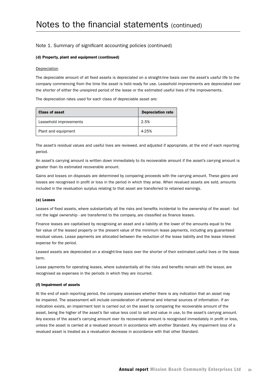#### (d) Property, plant and equipment (continued)

#### Depreciation

The depreciable amount of all fixed assets is depreciated on a straight-line basis over the asset's useful life to the company commencing from the time the asset is held ready for use. Leasehold improvements are depreciated over the shorter of either the unexpired period of the lease or the estimated useful lives of the improvements.

The depreciation rates used for each class of depreciable asset are:

| <b>Class of asset</b>  | <b>Depreciation rate</b> |
|------------------------|--------------------------|
| Leasehold improvements | 2.5%                     |
| Plant and equipment    | 4-25%                    |

The asset's residual values and useful lives are reviewed, and adjusted if appropriate, at the end of each reporting period.

An asset's carrying amount is written down immediately to its recoverable amount if the asset's carrying amount is greater than its estimated recoverable amount.

Gains and losses on disposals are determined by comparing proceeds with the carrying amount. These gains and losses are recognised in profit or loss in the period in which they arise. When revalued assets are sold, amounts included in the revaluation surplus relating to that asset are transferred to retained earnings.

#### (e) Leases

Leases of fixed assets, where substantially all the risks and benefits incidental to the ownership of the asset - but not the legal ownership - are transferred to the company, are classified as finance leases.

Finance leases are capitalised by recognising an asset and a liability at the lower of the amounts equal to the fair value of the leased property or the present value of the minimum lease payments, including any guaranteed residual values. Lease payments are allocated between the reduction of the lease liability and the lease interest expense for the period.

Leased assets are depreciated on a straight-line basis over the shorter of their estimated useful lives or the lease term.

Lease payments for operating leases, where substantially all the risks and benefits remain with the lessor, are recognised as expenses in the periods in which they are incurred.

#### (f) Impairment of assets

At the end of each reporting period, the company assesses whether there is any indication that an asset may be impaired. The assessment will include consideration of external and internal sources of information. If an indication exists, an impairment test is carried out on the asset by comparing the recoverable amount of the asset, being the higher of the asset's fair value less cost to sell and value in use, to the asset's carrying amount. Any excess of the asset's carrying amount over its recoverable amount is recognised immediately in profit or loss, unless the asset is carried at a revalued amount in accordance with another Standard. Any impairment loss of a revalued asset is treated as a revaluation decrease in accordance with that other Standard.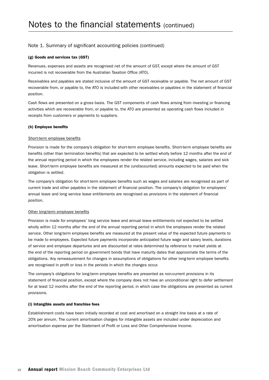#### (g) Goods and services tax (GST)

Revenues, expenses and assets are recognised net of the amount of GST, except where the amount of GST incurred is not recoverable from the Australian Taxation Office (ATO).

Receivables and payables are stated inclusive of the amount of GST receivable or payable. The net amount of GST recoverable from, or payable to, the ATO is included with other receivables or payables in the statement of financial position.

Cash flows are presented on a gross basis. The GST components of cash flows arising from investing or financing activities which are recoverable from, or payable to, the ATO are presented as operating cash flows included in receipts from customers or payments to suppliers.

#### (h) Employee benefits

#### Short-term employee benefits

Provision is made for the company's obligation for short-term employee benefits. Short-term employee benefits are benefits (other than termination benefits) that are expected to be settled wholly before 12 months after the end of the annual reporting period in which the employees render the related service, including wages, salaries and sick leave. Short-term employee benefits are measured at the (undiscounted) amounts expected to be paid when the obligation is settled.

The company's obligation for short-term employee benefits such as wages and salaries are recognised as part of current trade and other payables in the statement of financial position. The company's obligation for employees' annual leave and long service leave entitlements are recognised as provisions in the statement of financial position.

#### Other long-term employee benefits

Provision is made for employees' long service leave and annual leave entitlements not expected to be settled wholly within 12 months after the end of the annual reporting period in which the employees render the related service. Other long-term employee benefits are measured at the present value of the expected future payments to be made to employees. Expected future payments incorporate anticipated future wage and salary levels, durations of service and employee departures and are discounted at rates determined by reference to market yields at the end of the reporting period on government bonds that have maturity dates that approximate the terms of the obligations. Any remeasurement for changes in assumptions of obligations for other long-term employee benefits are recognised in profit or loss in the periods in which the changes occur.

The company's obligations for long-term employee benefits are presented as non-current provisions in its statement of financial position, except where the company does not have an unconditional right to defer settlement for at least 12 months after the end of the reporting period, in which case the obligations are presented as current provisions.

#### (i) Intangible assets and franchise fees

Establishment costs have been initially recorded at cost and amortised on a straight line basis at a rate of 20% per annum. The current amortisation charges for intangible assets are included under depreciation and amortisation expense per the Statement of Profit or Loss and Other Comprehensive Income.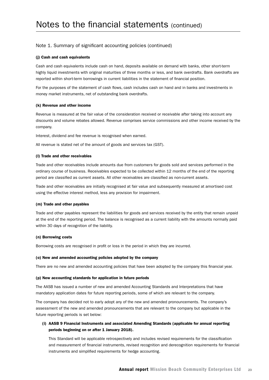#### (j) Cash and cash equivalents

Cash and cash equivalents include cash on hand, deposits available on demand with banks, other short-term highly liquid investments with original maturities of three months or less, and bank overdrafts. Bank overdrafts are reported within short-term borrowings in current liabilities in the statement of financial position.

For the purposes of the statement of cash flows, cash includes cash on hand and in banks and investments in money market instruments, net of outstanding bank overdrafts.

#### (k) Revenue and other income

Revenue is measured at the fair value of the consideration received or receivable after taking into account any discounts and volume rebates allowed. Revenue comprises service commissions and other income received by the company.

Interest, dividend and fee revenue is recognised when earned.

All revenue is stated net of the amount of goods and services tax (GST).

#### (l) Trade and other receivables

Trade and other receivables include amounts due from customers for goods sold and services performed in the ordinary course of business. Receivables expected to be collected within 12 months of the end of the reporting period are classified as current assets. All other receivables are classified as non-current assets.

Trade and other receivables are initially recognised at fair value and subsequently measured at amortised cost using the effective interest method, less any provision for impairment.

#### (m) Trade and other payables

Trade and other payables represent the liabilities for goods and services received by the entity that remain unpaid at the end of the reporting period. The balance is recognised as a current liability with the amounts normally paid within 30 days of recognition of the liability.

#### (n) Borrowing costs

Borrowing costs are recognised in profit or loss in the period in which they are incurred.

#### (o) New and amended accounting policies adopted by the company

There are no new and amended accounting policies that have been adopted by the company this financial year.

#### (p) New accounting standards for application in future periods

The AASB has issued a number of new and amended Accounting Standards and Interpretations that have mandatory application dates for future reporting periods, some of which are relevant to the company.

The company has decided not to early adopt any of the new and amended pronouncements. The company's assessment of the new and amended pronouncements that are relevant to the company but applicable in the future reporting periods is set below:

(i) AASB 9 Financial Instruments and associated Amending Standards (applicable for annual reporting periods beginning on or after 1 January 2018).

This Standard will be applicable retrospectively and includes revised requirements for the classification and measurement of financial instruments, revised recognition and derecognition requirements for financial instruments and simplified requirements for hedge accounting.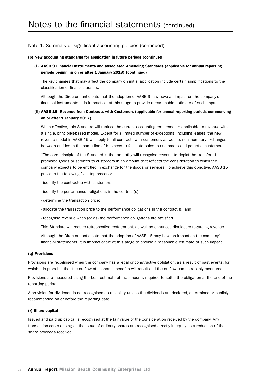#### (p) New accounting standards for application in future periods (continued)

(i) AASB 9 Financial Instruments and associated Amending Standards (applicable for annual reporting periods beginning on or after 1 January 2018) (continued)

The key changes that may affect the company on initial application include certain simplifications to the classification of financial assets.

Although the Directors anticipate that the adoption of AASB 9 may have an impact on the company's financial instruments, it is impractical at this stage to provide a reasonable estimate of such impact.

#### (ii) AASB 15: Revenue from Contracts with Customers (applicable for annual reporting periods commencing on or after 1 January 2017).

When effective, this Standard will replace the current accounting requirements applicable to revenue with a single, principles-based model. Except for a limited number of exceptions, including leases, the new revenue model in AASB 15 will apply to all contracts with customers as well as non-monetary exchanges between entities in the same line of business to facilitate sales to customers and potential customers.

"The core principle of the Standard is that an entity will recognise revenue to depict the transfer of promised goods or services to customers in an amount that reflects the consideration to which the company expects to be entitled in exchange for the goods or services. To achieve this objective, AASB 15 provides the following five-step process:

- identify the contract(s) with customers;
- identify the performance obligations in the contract(s);
- determine the transaction price;
- allocate the transaction price to the performance obligations in the contract(s); and
- recognise revenue when (or as) the performance obligations are satisfied."
- This Standard will require retrospective restatement, as well as enhanced disclosure regarding revenue.

Although the Directors anticipate that the adoption of AASB 15 may have an impact on the company's financial statements, it is impracticable at this stage to provide a reasonable estimate of such impact.

#### (q) Provisions

Provisions are recognised when the company has a legal or constructive obligation, as a result of past events, for which it is probable that the outflow of economic benefits will result and the outflow can be reliably measured.

Provisions are measured using the best estimate of the amounts required to settle the obligation at the end of the reporting period.

A provision for dividends is not recognised as a liability unless the dividends are declared, determined or publicly recommended on or before the reporting date.

#### (r) Share capital

Issued and paid up capital is recognised at the fair value of the consideration received by the company. Any transaction costs arising on the issue of ordinary shares are recognised directly in equity as a reduction of the share proceeds received.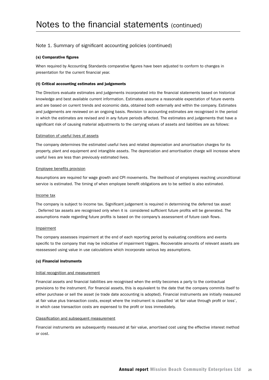#### (s) Comparative figures

When required by Accounting Standards comparative figures have been adjusted to conform to changes in presentation for the current financial year.

#### (t) Critical accounting estimates and judgements

The Directors evaluate estimates and judgements incorporated into the financial statements based on historical knowledge and best available current information. Estimates assume a reasonable expectation of future events and are based on current trends and economic data, obtained both externally and within the company. Estimates and judgements are reviewed on an ongoing basis. Revision to accounting estimates are recognised in the period in which the estimates are revised and in any future periods affected. The estimates and judgements that have a significant risk of causing material adjustments to the carrying values of assets and liabilities are as follows:

#### Estimation of useful lives of assets

The company determines the estimated useful lives and related depreciation and amortisation charges for its property, plant and equipment and intangible assets. The depreciation and amortisation charge will increase where useful lives are less than previously estimated lives.

#### Employee benefits provision

Assumptions are required for wage growth and CPI movements. The likelihood of employees reaching unconditional service is estimated. The timing of when employee benefit obligations are to be settled is also estimated.

#### Income tax

The company is subject to income tax. Significant judgement is required in determining the deferred tax asset . Deferred tax assets are recognised only when it is considered sufficient future profits will be generated. The assumptions made regarding future profits is based on the company's assessment of future cash flows.

#### **Impairment**

The company assesses impairment at the end of each reporting period by evaluating conditions and events specific to the company that may be indicative of impairment triggers. Recoverable amounts of relevant assets are reassessed using value in use calculations which incorporate various key assumptions.

#### (u) Financial instruments

#### Initial recognition and measurement

Financial assets and financial liabilities are recognised when the entity becomes a party to the contractual provisions to the instrument. For financial assets, this is equivalent to the date that the company commits itself to either purchase or sell the asset (ie trade date accounting is adopted). Financial instruments are initially measured at fair value plus transaction costs, except where the instrument is classified 'at fair value through profit or loss', in which case transaction costs are expensed to the profit or loss immediately.

#### Classification and subsequent measurement

Financial instruments are subsequently measured at fair value, amortised cost using the effective interest method or cost.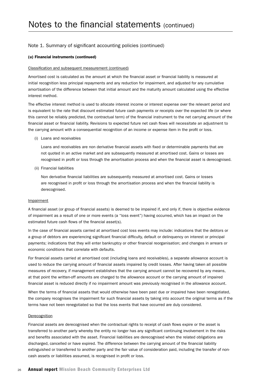#### (u) Financial instruments (continued)

#### Classification and subsequent measurement (continued)

Amortised cost is calculated as the amount at which the financial asset or financial liability is measured at initial recognition less principal repayments and any reduction for impairment, and adjusted for any cumulative amortisation of the difference between that initial amount and the maturity amount calculated using the effective interest method.

The effective interest method is used to allocate interest income or interest expense over the relevant period and is equivalent to the rate that discount estimated future cash payments or receipts over the expected life (or where this cannot be reliably predicted, the contractual term) of the financial instrument to the net carrying amount of the financial asset or financial liability. Revisions to expected future net cash flows will necessitate an adjustment to the carrying amount with a consequential recognition of an income or expense item in the profit or loss.

(i) Loans and receivables

Loans and receivables are non derivative financial assets with fixed or determinable payments that are not quoted in an active market and are subsequently measured at amortised cost. Gains or losses are recognised in profit or loss through the amortisation process and when the financial asset is derecognised.

(ii) Financial liabilities

Non derivative financial liabilities are subsequently measured at amortised cost. Gains or losses are recognised in profit or loss through the amortisation process and when the financial liability is derecognised.

#### Impairment

A financial asset (or group of financial assets) is deemed to be impaired if, and only if, there is objective evidence of impairment as a result of one or more events (a "loss event") having occurred, which has an impact on the estimated future cash flows of the financial asset(s).

In the case of financial assets carried at amortised cost loss events may include: indications that the debtors or a group of debtors are experiencing significant financial difficulty, default or delinquency on interest or principal payments; indications that they will enter bankruptcy or other financial reorganisation; and changes in arrears or economic conditions that correlate with defaults.

For financial assets carried at amortised cost (including loans and receivables), a separate allowance account is used to reduce the carrying amount of financial assets impaired by credit losses. After having taken all possible measures of recovery, if management establishes that the carrying amount cannot be recovered by any means, at that point the written-off amounts are charged to the allowance account or the carrying amount of impaired financial asset is reduced directly if no impairment amount was previously recognised in the allowance account.

When the terms of financial assets that would otherwise have been past due or impaired have been renegotiated, the company recognises the impairment for such financial assets by taking into account the original terms as if the terms have not been renegotiated so that the loss events that have occurred are duly considered.

#### Derecognition

Financial assets are derecognised when the contractual rights to receipt of cash flows expire or the asset is transferred to another party whereby the entity no longer has any significant continuing involvement in the risks and benefits associated with the asset. Financial liabilities are derecognised when the related obligations are discharged, cancelled or have expired. The difference between the carrying amount of the financial liability extinguished or transferred to another party and the fair value of consideration paid, including the transfer of noncash assets or liabilities assumed, is recognised in profit or loss.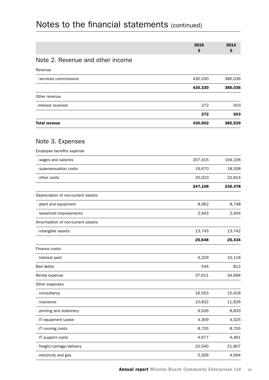|                                     | 2015<br>\$ | 2014<br>\$ |
|-------------------------------------|------------|------------|
| Note 2. Revenue and other income    |            |            |
| Revenue                             |            |            |
| - services commissions              | 430,330    | 385,036    |
|                                     | 430,330    | 385,036    |
| Other revenue                       |            |            |
| - interest received                 | 272        | 503        |
|                                     | 272        | 503        |
| <b>Total revenue</b>                | 430,602    | 385,539    |
| Note 3. Expenses                    |            |            |
| Employee benefits expense           |            |            |
| - wages and salaries                | 207,415    | 194,106    |
| - superannuation costs              | 19,670     | 18,558     |
| - other costs                       | 20,023     | 22,814     |
|                                     | 247,108    | 235,478    |
| Depreciation of non-current assets: |            |            |
| - plant and equipment               | 8,962      | 8,748      |
| - leasehold improvements            | 2,943      | 2,944      |
| Amortisation of non-current assets: |            |            |
| - intangible assets                 | 13,743     | 13,742     |
|                                     | 25,648     | 25,434     |
| Finance costs:                      |            |            |
| - Interest paid                     | 4,329      | 10,118     |
| Bad debts                           | 544        | 812        |
| Rental expense                      | 37,611     | 34,684     |
| Other expenses                      |            |            |
| - consultancy                       | 16,553     | 15,418     |
| - insurance                         | 10,832     | 11,826     |
| - printing and stationery           | 9,526      | 8,833      |
| - IT equipment Lease                | 4,309      | 4,325      |
| - IT running costs                  | 8,755      | 8,755      |
| - IT support costs                  | 4,677      | 4,461      |
| - freight/cartage/delivery          | 20,540     | 21,807     |
| - electricity and gas               | 5,309      | 4,994      |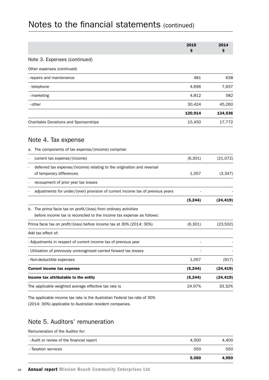|                                       | 2015<br>\$ | 2014<br>Ş |
|---------------------------------------|------------|-----------|
| Note 3. Expenses (continued)          |            |           |
| Other expenses (continued)            |            |           |
| - repairs and maintenance             | 481        | 638       |
| - telephone                           | 4,696      | 7,637     |
| - marketing                           | 4,812      | 582       |
| - other                               | 30,424     | 45,260    |
|                                       | 120,914    | 134,536   |
| Charitable Donations and Sponsorships | 15,450     | 17,772    |

### Note 4. Tax expense

| a. The components of tax expense/(income) comprise |  |
|----------------------------------------------------|--|
|----------------------------------------------------|--|

| current tax expense/(income)                                                   | (6,301)  | (21,072)  |
|--------------------------------------------------------------------------------|----------|-----------|
| deferred tax expense/(income) relating to the origination and reversal         |          |           |
| of temporary differences                                                       | 1,057    | (3,347)   |
| recoupment of prior year tax losses                                            |          |           |
| adjustments for under/(over) provision of current income tax of previous years |          |           |
|                                                                                | (5, 244) | (24, 419) |
| The prima facie tax on profit/(loss) from ordinary activities<br>b.            |          |           |
| before income tax is reconciled to the income tax expense as follows:          |          |           |
| Prima facie tax on profit/(loss) before income tax at 30% (2014: 30%)          | (6,301)  | (23,502)  |
| Add tax effect of:                                                             |          |           |
| - Adjustments in respect of current income tax of previous year                |          |           |
| - Utilisation of previously unrecognised carried forward tax losses            |          |           |
| - Non-deductible expenses                                                      | 1,057    | (917)     |
| <b>Current income tax expense</b>                                              | (5, 244) | (24, 419) |
| Income tax attributable to the entity                                          | (5, 244) | (24, 419) |
| The applicable weighted average effective tax rate is                          | 24.97%   | 33.32%    |

The applicable income tax rate is the Australian Federal tax rate of 30% (2014: 30%) applicable to Australian resident companies.

## Note 5. Auditors' remuneration

Remuneration of the Auditor for:

|                                           | 5.050 | 4.950 |
|-------------------------------------------|-------|-------|
| - Taxation services                       | 550   | 550   |
| - Audit or review of the financial report | 4.500 | 4.400 |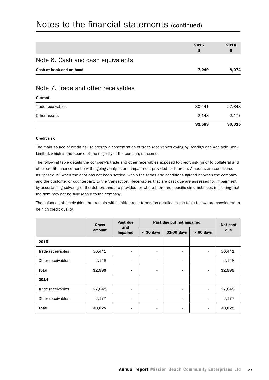|                                   | 2015<br><b>s</b> | 2014  |
|-----------------------------------|------------------|-------|
| Note 6. Cash and cash equivalents |                  |       |
| Cash at bank and on hand          | 7.249            | 8.074 |

### Note 7. Trade and other receivables

|                   | 32,589 | 30,025 |
|-------------------|--------|--------|
| Other assets      | 2,148  | 2,177  |
| Trade receivables | 30,441 | 27,848 |
| <b>Current</b>    |        |        |

#### Credit risk

The main source of credit risk relates to a concentration of trade receivables owing by Bendigo and Adelaide Bank Limited, which is the source of the majority of the company's income.

The following table details the company's trade and other receivables exposed to credit risk (prior to collateral and other credit enhancements) with ageing analysis and impairment provided for thereon. Amounts are considered as "past due" when the debt has not been settled, within the terms and conditions agreed between the company and the customer or counterparty to the transaction. Receivables that are past due are assessed for impairment by ascertaining solvency of the debtors and are provided for where there are specific circumstances indicating that the debt may not be fully repaid to the company.

The balances of receivables that remain within initial trade terms (as detailed in the table below) are considered to be high credit quality.

|                   | <b>Gross</b> | Past due<br>Past due but not impaired |                          |                          |             | Not past |
|-------------------|--------------|---------------------------------------|--------------------------|--------------------------|-------------|----------|
|                   | amount       | and<br>impaired                       | $<$ 30 days              | 31-60 days               | $> 60$ days | due      |
| 2015              |              |                                       |                          |                          |             |          |
| Trade receivables | 30,441       | $\overline{\phantom{a}}$              | ٠                        | ۰                        | ٠           | 30,441   |
| Other receivables | 2,148        | ٠                                     | $\overline{\phantom{a}}$ | ٠                        | ۰           | 2,148    |
| <b>Total</b>      | 32,589       | ٠                                     | $\blacksquare$           | $\blacksquare$           | ۰           | 32,589   |
| 2014              |              |                                       |                          |                          |             |          |
| Trade receivables | 27,848       |                                       | $\overline{\phantom{a}}$ | ۰                        |             | 27,848   |
| Other receivables | 2,177        | $\overline{\phantom{a}}$              | $\sim$                   | $\overline{\phantom{a}}$ | ٠           | 2,177    |
| <b>Total</b>      | 30,025       | ٠                                     | $\blacksquare$           |                          | ۰           | 30,025   |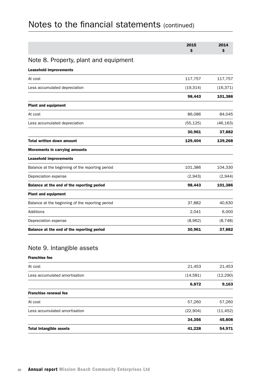|                                                  | 2015<br>s | 2014<br>\$ |
|--------------------------------------------------|-----------|------------|
| Note 8. Property, plant and equipment            |           |            |
| <b>Leasehold improvements</b>                    |           |            |
| At cost                                          | 117,757   | 117,757    |
| Less accumulated depreciation                    | (19, 314) | (16, 371)  |
|                                                  | 98,443    | 101,386    |
| <b>Plant and equipment</b>                       |           |            |
| At cost                                          | 86,086    | 84,045     |
| Less accumulated depreciation                    | (55, 125) | (46, 163)  |
|                                                  | 30,961    | 37,882     |
| <b>Total written down amount</b>                 | 129,404   | 139,268    |
| <b>Movements in carrying amounts</b>             |           |            |
| <b>Leasehold improvements</b>                    |           |            |
| Balance at the beginning of the reporting period | 101,386   | 104,330    |
| Depreciation expense                             | (2,943)   | (2,944)    |
| Balance at the end of the reporting period       | 98,443    | 101,386    |
| <b>Plant and equipment</b>                       |           |            |
| Balance at the beginning of the reporting period | 37,882    | 40,630     |
| <b>Additions</b>                                 | 2,041     | 6,000      |
| Depreciation expense                             | (8,962)   | (8, 748)   |
| Balance at the end of the reporting period       | 30,961    | 37,882     |

## Note 9. Intangible assets

#### Franchise fee

| <b>Total Intangible assets</b> | 41,228    | 54,971    |
|--------------------------------|-----------|-----------|
|                                | 34,356    | 45,808    |
| Less accumulated amortisation  | (22,904)  | (11, 452) |
| At cost                        | 57,260    | 57,260    |
| <b>Franchise renewal fee</b>   |           |           |
|                                | 6,872     | 9,163     |
| Less accumulated amortisation  | (14, 581) | (12, 290) |
| At cost                        | 21,453    | 21,453    |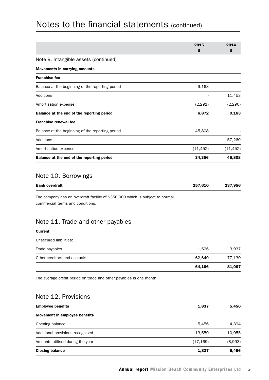|                                                  | 2015<br>\$ | 2014<br>\$ |
|--------------------------------------------------|------------|------------|
| Note 9. Intangible assets (continued)            |            |            |
| <b>Movements in carrying amounts</b>             |            |            |
| <b>Franchise fee</b>                             |            |            |
| Balance at the beginning of the reporting period | 9,163      |            |
| Additions                                        |            | 11,453     |
| Amortisation expense                             | (2,291)    | (2, 290)   |
| Balance at the end of the reporting period       | 6,872      | 9,163      |
| <b>Franchise renewal fee</b>                     |            |            |
| Balance at the beginning of the reporting period | 45,808     |            |
| Additions                                        |            | 57,260     |
| Amortisation expense                             | (11, 452)  | (11, 452)  |
| Balance at the end of the reporting period       | 34,356     | 45,808     |

## Note 10. Borrowings

| <b>Bank overdraft</b><br>. | 257.610 | 237,956 |
|----------------------------|---------|---------|
|                            |         |         |

The company has an overdraft facility of \$350,000 which is subject to normal commercial terms and conditions.

## Note 11. Trade and other payables

#### Current

|                              | 64,166 | 81,067 |
|------------------------------|--------|--------|
| Other creditors and accruals | 62.640 | 77,130 |
| Trade payables               | 1.526  | 3.937  |
| Unsecured liabilities:       |        |        |

The average credit period on trade and other payables is one month.

## Note 12. Provisions

| <b>Employee benefits</b>         | 1,837     | 5,456   |
|----------------------------------|-----------|---------|
| Movement in employee benefits    |           |         |
| Opening balance                  | 5.456     | 4.394   |
| Additional provisions recognised | 13,550    | 10,055  |
| Amounts utilised during the year | (17, 169) | (8,993) |
| <b>Closing balance</b>           | 1,837     | 5,456   |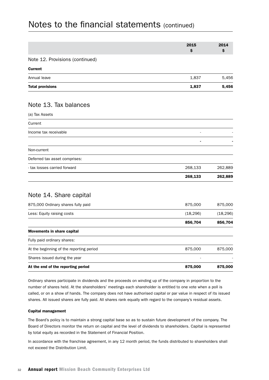|                                          | 2015      | 2014      |
|------------------------------------------|-----------|-----------|
|                                          | \$        | \$        |
| Note 12. Provisions (continued)          |           |           |
| <b>Current</b>                           |           |           |
| Annual leave                             | 1,837     | 5,456     |
| <b>Total provisions</b>                  | 1,837     | 5,456     |
| Note 13. Tax balances                    |           |           |
| (a) Tax Assets                           |           |           |
| Current                                  |           |           |
| Income tax receivable                    |           |           |
|                                          | ۰         |           |
| Non-current                              |           |           |
| Deferred tax asset comprises:            |           |           |
| - tax losses carried forward             | 268,133   | 262,889   |
|                                          | 268,133   | 262,889   |
| Note 14. Share capital                   |           |           |
| 875,000 Ordinary shares fully paid       | 875,000   | 875,000   |
| Less: Equity raising costs               | (18, 296) | (18, 296) |
|                                          | 856,704   | 856,704   |
| <b>Movements in share capital</b>        |           |           |
| Fully paid ordinary shares:              |           |           |
| At the beginning of the reporting period | 875,000   | 875,000   |
| Shares issued during the year            |           |           |

At the end of the reporting period and the state of the reporting period and the state and the state and the state  $875,000$ 

Ordinary shares participate in dividends and the proceeds on winding up of the company in proportion to the number of shares held. At the shareholders' meetings each shareholder is entitled to one vote when a poll is called, or on a show of hands. The company does not have authorised capital or par value in respect of its issued shares. All issued shares are fully paid. All shares rank equally with regard to the company's residual assets.

#### Capital management

The Board's policy is to maintain a strong capital base so as to sustain future development of the company. The Board of Directors monitor the return on capital and the level of dividends to shareholders. Capital is represented by total equity as recorded in the Statement of Financial Position.

In accordance with the franchise agreement, in any 12 month period, the funds distributed to shareholders shall not exceed the Distribution Limit.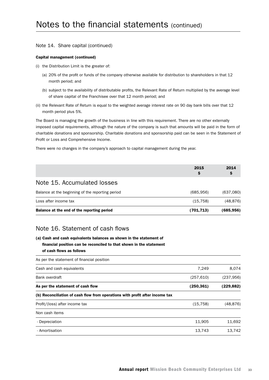#### Note 14. Share capital (continued)

#### Capital management (continued)

- (i) the Distribution Limit is the greater of:
	- (a) 20% of the profit or funds of the company otherwise available for distribution to shareholders in that 12 month period; and
	- (b) subject to the availability of distributable profits, the Relevant Rate of Return multiplied by the average level of share capital of the Franchisee over that 12 month period; and
- (ii) the Relevant Rate of Return is equal to the weighted average interest rate on 90 day bank bills over that 12 month period plus 5%.

The Board is managing the growth of the business in line with this requirement. There are no other externally imposed capital requirements, although the nature of the company is such that amounts will be paid in the form of charitable donations and sponsorship. Charitable donations and sponsorship paid can be seen in the Statement of Profit or Loss and Comprehensive Income.

There were no changes in the company's approach to capital management during the year.

| Balance at the end of the reporting period       | (701,713)  | (685, 956) |
|--------------------------------------------------|------------|------------|
| Loss after income tax                            | (15, 758)  | (48, 876)  |
| Balance at the beginning of the reporting period | (685, 956) | (637,080)  |
| Note 15. Accumulated losses                      |            |            |
|                                                  | 2015<br>S  | 2014<br>\$ |
|                                                  |            |            |

### Note 16. Statement of cash flows

#### (a) Cash and cash equivalents balances as shown in the statement of financial position can be reconciled to that shown in the statement

#### of cash flows as follows

| As per the statement of financial position                                   |            |            |  |  |
|------------------------------------------------------------------------------|------------|------------|--|--|
| Cash and cash equivalents                                                    | 7,249      | 8,074      |  |  |
| Bank overdraft                                                               | (257, 610) | (237, 956) |  |  |
| As per the statement of cash flow                                            | (250, 361) | (229, 882) |  |  |
| (b) Reconciliation of cash flow from operations with profit after income tax |            |            |  |  |
| Profit/(loss) after income tax                                               | (15, 758)  | (48, 876)  |  |  |
| Non cash items                                                               |            |            |  |  |
| - Depreciation                                                               | 11,905     | 11,692     |  |  |
| - Amortisation                                                               | 13,743     | 13,742     |  |  |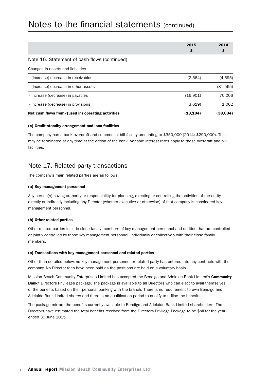| Net cash flows from/(used in) operating activities | (13, 194) | (38, 634) |
|----------------------------------------------------|-----------|-----------|
| - Increase (decrease) in provisions                | (3,619)   | 1.062     |
| - Increase (decrease) in payables                  | (16,901)  | 70,006    |
| - (Increase) decrease in other assets              |           | (81, 565) |
| - (Increase) decrease in receivables               | (2,564)   | (4,695)   |
| Changes in assets and liabilities                  |           |           |
| Note 16. Statement of cash flows (continued)       |           |           |
|                                                    | 2015<br>Ş | 2014<br>Ş |
|                                                    |           |           |

#### (c) Credit standby arrangement and loan facilities

The company has a bank overdraft and commercial bill facility amounting to \$350,000 (2014: \$290,000). This may be terminated at any time at the option of the bank. Variable interest rates apply to these overdraft and bill facilities.

#### Note 17. Related party transactions

The company's main related parties are as follows:

#### (a) Key management personnel

Any person(s) having authority or responsibility for planning, directing or controlling the activities of the entity, directly or indirectly including any Director (whether executive or otherwise) of that company is considered key management personnel.

#### (b) Other related parties

Other related parties include close family members of key management personnel and entities that are controlled or jointly controlled by those key management personnel, individually or collectively with their close family members.

#### (c) Transactions with key management personnel and related parties

Other than detailed below, no key management personnel or related party has entered into any contracts with the company. No Director fees have been paid as the positions are held on a voluntary basis.

Mission Beach Community Enterprises Limited has accepted the Bendigo and Adelaide Bank Limited's Community Bank<sup>®</sup> Directors Privileges package. The package is available to all Directors who can elect to avail themselves of the benefits based on their personal banking with the branch. There is no requirement to own Bendigo and Adelaide Bank Limited shares and there is no qualification period to qualify to utilise the benefits.

The package mirrors the benefits currently available to Bendigo and Adelaide Bank Limited shareholders. The Directors have estimated the total benefits received from the Directors Privilege Package to be \$nil for the year ended 30 June 2015.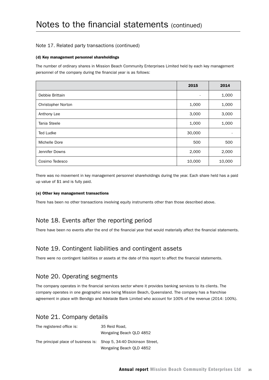#### Note 17. Related party transactions (continued)

#### (d) Key management personnel shareholdings

The number of ordinary shares in Mission Beach Community Enterprises Limited held by each key management personnel of the company during the financial year is as follows:

|                           | 2015   | 2014   |
|---------------------------|--------|--------|
| Debbie Brittain           |        | 1,000  |
| <b>Christopher Norton</b> | 1,000  | 1,000  |
| Anthony Lee               | 3,000  | 3,000  |
| Tania Steele              | 1,000  | 1,000  |
| Ted Ludke                 | 30,000 |        |
| Michelle Dore             | 500    | 500    |
| Jennifer Downs            | 2,000  | 2,000  |
| Cosimo Tedesco            | 10,000 | 10,000 |

There was no movement in key management personnel shareholdings during the year. Each share held has a paid up value of \$1 and is fully paid.

#### (e) Other key management transactions

There has been no other transactions involving equity instruments other than those described above.

### Note 18. Events after the reporting period

There have been no events after the end of the financial year that would materially affect the financial statements.

### Note 19. Contingent liabilities and contingent assets

There were no contingent liabilities or assets at the date of this report to affect the financial statements.

### Note 20. Operating segments

The company operates in the financial services sector where it provides banking services to its clients. The company operates in one geographic area being Mission Beach, Queensland. The company has a franchise agreement in place with Bendigo and Adelaide Bank Limited who account for 100% of the revenue (2014: 100%).

#### Note 21. Company details

| The registered office is:                                           | 35 Reid Road,            |
|---------------------------------------------------------------------|--------------------------|
|                                                                     | Wongaling Beach OLD 4852 |
| The principal place of business is: Shop 5, 34-40 Dickinson Street, |                          |
|                                                                     | Wongaling Beach OLD 4852 |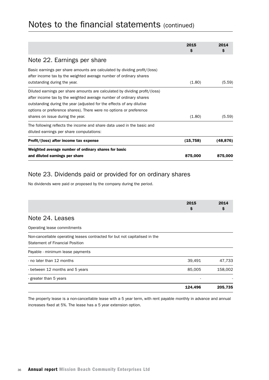|                                                                                                                                                                                                                                                                                                                                      | 2015<br>\$ | 2014<br>\$ |
|--------------------------------------------------------------------------------------------------------------------------------------------------------------------------------------------------------------------------------------------------------------------------------------------------------------------------------------|------------|------------|
| Note 22. Earnings per share                                                                                                                                                                                                                                                                                                          |            |            |
| Basic earnings per share amounts are calculated by dividing profit/(loss)<br>after income tax by the weighted average number of ordinary shares<br>outstanding during the year.                                                                                                                                                      | (1.80)     | (5.59)     |
| Diluted earnings per share amounts are calculated by dividing profit/(loss)<br>after income tax by the weighted average number of ordinary shares<br>outstanding during the year (adjusted for the effects of any dilutive<br>options or preference shares). There were no options or preference<br>shares on issue during the year. | (1.80)     | (5.59)     |
| The following reflects the income and share data used in the basic and<br>diluted earnings per share computations:                                                                                                                                                                                                                   |            |            |
| Profit/(loss) after income tax expense                                                                                                                                                                                                                                                                                               | (15, 758)  | (48, 876)  |
| Weighted average number of ordinary shares for basic<br>and diluted earnings per share                                                                                                                                                                                                                                               | 875,000    | 875,000    |

### Note 23. Dividends paid or provided for on ordinary shares

No dividends were paid or proposed by the company during the period.

|                                                                                                               | 2015<br>\$ | 2014<br>Ş |
|---------------------------------------------------------------------------------------------------------------|------------|-----------|
| Note 24. Leases                                                                                               |            |           |
| Operating lease commitments                                                                                   |            |           |
| Non-cancellable operating leases contracted for but not capitalised in the<br>Statement of Financial Position |            |           |
| Payable - minimum lease payments                                                                              |            |           |
| - no later than 12 months                                                                                     | 39,491     | 47,733    |
| - between 12 months and 5 years                                                                               | 85,005     | 158,002   |
| - greater than 5 years                                                                                        |            |           |
|                                                                                                               | 124,496    | 205,735   |

The property lease is a non-cancellable lease with a 5 year term, with rent payable monthly in advance and annual increases fixed at 5%. The lease has a 5 year extension option.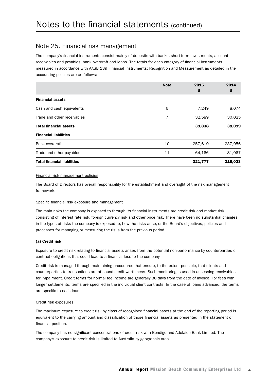### Note 25. Financial risk management

The company's financial instruments consist mainly of deposits with banks, short-term investments, account receivables and payables, bank overdraft and loans. The totals for each category of financial instruments measured in accordance with AASB 139 Financial Instruments: Recognition and Measurement as detailed in the accounting policies are as follows:

|                                    | <b>Note</b> | 2015<br>\$ | 2014<br>\$ |
|------------------------------------|-------------|------------|------------|
| <b>Financial assets</b>            |             |            |            |
| Cash and cash equivalents          | 6           | 7,249      | 8,074      |
| Trade and other receivables        | 7           | 32,589     | 30,025     |
| <b>Total financial assets</b>      |             | 39,838     | 38,099     |
| <b>Financial liabilities</b>       |             |            |            |
| Bank overdraft                     | 10          | 257,610    | 237,956    |
| Trade and other payables           | 11          | 64,166     | 81,067     |
| <b>Total financial liabilities</b> |             | 321,777    | 319,023    |

#### Financial risk management policies

The Board of Directors has overall responsibility for the establishment and oversight of the risk management framework.

#### Specific financial risk exposure and management

The main risks the company is exposed to through its financial instruments are credit risk and market risk consisting of interest rate risk, foreign currency risk and other price risk. There have been no substantial changes in the types of risks the company is exposed to, how the risks arise, or the Board's objectives, policies and processes for managing or measuring the risks from the previous period.

#### (a) Credit risk

Exposure to credit risk relating to financial assets arises from the potential non-performance by counterparties of contract obligations that could lead to a financial loss to the company.

Credit risk is managed through maintaining procedures that ensure, to the extent possible, that clients and counterparties to transactions are of sound credit worthiness. Such monitoring is used in assessing receivables for impairment. Credit terms for normal fee income are generally 30 days from the date of invoice. For fees with longer settlements, terms are specified in the individual client contracts. In the case of loans advanced, the terms are specific to each loan.

#### Credit risk exposures

The maximum exposure to credit risk by class of recognised financial assets at the end of the reporting period is equivalent to the carrying amount and classification of those financial assets as presented in the statement of financial position.

The company has no significant concentrations of credit risk with Bendigo and Adelaide Bank Limited. The company's exposure to credit risk is limited to Australia by geographic area.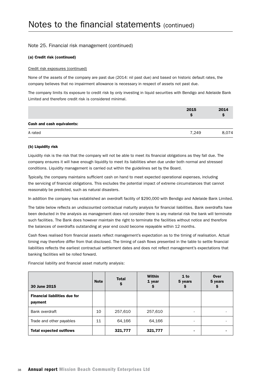#### (a) Credit risk (continued)

#### Credit risk exposures (continued)

None of the assets of the company are past due (2014: nil past due) and based on historic default rates, the company believes that no impairment allowance is necessary in respect of assets not past due.

The company limits its exposure to credit risk by only investing in liquid securities with Bendigo and Adelaide Bank Limited and therefore credit risk is considered minimal.

|                            | 2015<br>s | 2014  |
|----------------------------|-----------|-------|
| Cash and cash equivalents: |           |       |
| A rated                    | 7.249     | 8,074 |

#### (b) Liquidity risk

Liquidity risk is the risk that the company will not be able to meet its financial obligations as they fall due. The company ensures it will have enough liquidity to meet its liabilities when due under both normal and stressed conditions. Liquidity management is carried out within the guidelines set by the Board.

Typically, the company maintains sufficient cash on hand to meet expected operational expenses, including the servicing of financial obligations. This excludes the potential impact of extreme circumstances that cannot reasonably be predicted, such as natural disasters.

In addition the company has established an overdraft facility of \$290,000 with Bendigo and Adelaide Bank Limited.

The table below reflects an undiscounted contractual maturity analysis for financial liabilities. Bank overdrafts have been deducted in the analysis as management does not consider there is any material risk the bank will terminate such facilities. The Bank does however maintain the right to terminate the facilities without notice and therefore the balances of overdrafts outstanding at year end could become repayable within 12 months.

Cash flows realised from financial assets reflect management's expectation as to the timing of realisation. Actual timing may therefore differ from that disclosed. The timing of cash flows presented in the table to settle financial liabilities reflects the earliest contractual settlement dates and does not reflect management's expectations that banking facilities will be rolled forward.

Financial liability and financial asset maturity analysis:

| 30 June 2015                                    | <b>Note</b> | <b>Total</b><br>\$ | <b>Within</b><br>1 year<br>S | $1$ to<br>5 years<br>S   | Over<br>5 years<br>Ş |
|-------------------------------------------------|-------------|--------------------|------------------------------|--------------------------|----------------------|
| <b>Financial liabilities due for</b><br>payment |             |                    |                              |                          |                      |
| Bank overdraft                                  | 10          | 257,610            | 257,610                      | ۰                        |                      |
| Trade and other payables                        | 11          | 64,166             | 64,166                       | $\overline{\phantom{a}}$ |                      |
| <b>Total expected outflows</b>                  |             | 321,777            | 321,777                      | -                        |                      |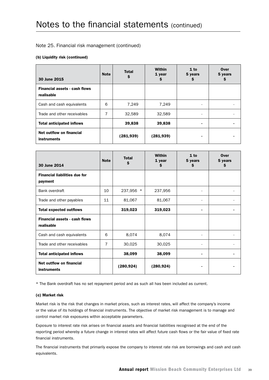#### (b) Liquidity risk (continued)

| 30 June 2015                                       | <b>Note</b> | <b>Total</b><br>\$ | <b>Within</b><br>1 year<br>\$ | $1$ to<br>5 years<br>Ş | Over<br>5 years<br>\$. |
|----------------------------------------------------|-------------|--------------------|-------------------------------|------------------------|------------------------|
| <b>Financial assets - cash flows</b><br>realisable |             |                    |                               |                        |                        |
| Cash and cash equivalents                          | 6           | 7,249              | 7,249                         |                        |                        |
| Trade and other receivables                        | 7           | 32,589             | 32,589                        |                        |                        |
| <b>Total anticipated inflows</b>                   |             | 39,838             | 39,838                        | ٠                      |                        |
| Net outflow on financial<br><b>instruments</b>     |             | (281, 939)         | (281,939)                     | ٠                      |                        |

| 30 June 2014                                       | <b>Note</b> | <b>Total</b><br>\$ | <b>Within</b><br>1 year<br>\$ | 1 to<br>5 years<br>s | Over<br>5 years<br>S |
|----------------------------------------------------|-------------|--------------------|-------------------------------|----------------------|----------------------|
| <b>Financial liabilities due for</b><br>payment    |             |                    |                               |                      |                      |
| Bank overdraft                                     | 10          | 237,956 *          | 237,956                       |                      |                      |
| Trade and other payables                           | 11          | 81,067             | 81,067                        |                      |                      |
| <b>Total expected outflows</b>                     |             | 319,023            | 319,023                       | ٠                    |                      |
| <b>Financial assets - cash flows</b><br>realisable |             |                    |                               |                      |                      |
| Cash and cash equivalents                          | 6           | 8,074              | 8,074                         |                      |                      |
| Trade and other receivables                        | 7           | 30,025             | 30,025                        | ٠                    |                      |
| <b>Total anticipated inflows</b>                   |             | 38,099             | 38,099                        |                      |                      |
| Net outflow on financial<br><b>instruments</b>     |             | (280, 924)         | (280, 924)                    |                      |                      |

\* The Bank overdraft has no set repayment period and as such all has been included as current.

#### (c) Market risk

Market risk is the risk that changes in market prices, such as interest rates, will affect the company's income or the value of its holdings of financial instruments. The objective of market risk management is to manage and control market risk exposures within acceptable parameters.

Exposure to interest rate risk arises on financial assets and financial liabilities recognised at the end of the reporting period whereby a future change in interest rates will affect future cash flows or the fair value of fixed rate financial instruments.

The financial instruments that primarily expose the company to interest rate risk are borrowings and cash and cash equivalents.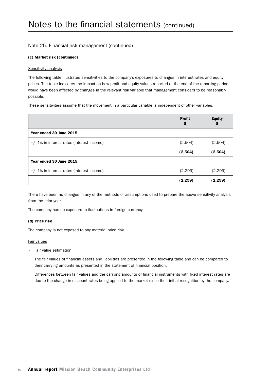#### (c) Market risk (continued)

#### Sensitivity analysis

The following table illustrates sensitivities to the company's exposures to changes in interest rates and equity prices. The table indicates the impact on how profit and equity values reported at the end of the reporting period would have been affected by changes in the relevant risk variable that management considers to be reasonably possible.

These sensitivities assume that the movement in a particular variable is independent of other variables.

|                                           | <b>Profit</b><br>S | <b>Equity</b><br>s |
|-------------------------------------------|--------------------|--------------------|
| Year ended 30 June 2015                   |                    |                    |
| +/-1% in interest rates (interest income) | (2,504)            | (2,504)            |
|                                           | (2,504)            | (2,504)            |
| Year ended 30 June 2015                   |                    |                    |
| +/-1% in interest rates (interest income) | (2, 299)           | (2, 299)           |
|                                           | (2, 299)           | (2,299)            |

There have been no changes in any of the methods or assumptions used to prepare the above sensitivity analysis from the prior year.

The company has no exposure to fluctuations in foreign currency.

#### (d) Price risk

The company is not exposed to any material price risk.

#### Fair values

• Fair value estimation

The fair values of financial assets and liabilities are presented in the following table and can be compared to their carrying amounts as presented in the statement of financial position.

Differences between fair values and the carrying amounts of financial instruments with fixed interest rates are due to the change in discount rates being applied to the market since their initial recognition by the company.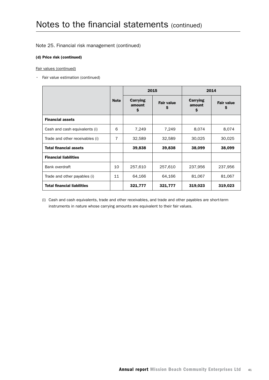#### (d) Price risk (continued)

Fair values (continued)

• Fair value estimation (continued)

|                                    | <b>Note</b> | 2015                    |                        | 2014                    |                         |
|------------------------------------|-------------|-------------------------|------------------------|-------------------------|-------------------------|
|                                    |             | Carrying<br>amount<br>S | <b>Fair value</b><br>S | Carrying<br>amount<br>S | <b>Fair value</b><br>\$ |
| <b>Financial assets</b>            |             |                         |                        |                         |                         |
| Cash and cash equivalents (i)      | 6           | 7,249                   | 7,249                  | 8,074                   | 8,074                   |
| Trade and other receivables (i)    | 7           | 32,589                  | 32,589                 | 30,025                  | 30,025                  |
| <b>Total financial assets</b>      |             | 39,838                  | 39,838                 | 38,099                  | 38,099                  |
| <b>Financial liabilities</b>       |             |                         |                        |                         |                         |
| Bank overdraft                     | 10          | 257,610                 | 257,610                | 237,956                 | 237,956                 |
| Trade and other payables (i)       | 11          | 64,166                  | 64,166                 | 81,067                  | 81,067                  |
| <b>Total financial liabilities</b> |             | 321,777                 | 321,777                | 319,023                 | 319,023                 |

(i) Cash and cash equivalents, trade and other receivables, and trade and other payables are short-term instruments in nature whose carrying amounts are equivalent to their fair values.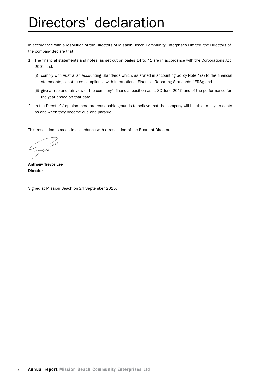## Directors' declaration

In accordance with a resolution of the Directors of Mission Beach Community Enterprises Limited, the Directors of the company declare that:

- 1 The financial statements and notes, as set out on pages 14 to 41 are in accordance with the Corporations Act 2001 and:
	- (i) comply with Australian Accounting Standards which, as stated in accounting policy Note 1(a) to the financial statements, constitutes compliance with International Financial Reporting Standards (IFRS); and
	- (ii) give a true and fair view of the company's financial position as at 30 June 2015 and of the performance for the year ended on that date;
- 2 In the Director's' opinion there are reasonable grounds to believe that the company will be able to pay its debts as and when they become due and payable.

This resolution is made in accordance with a resolution of the Board of Directors.

Anthony Trevor Lee Director

Signed at Mission Beach on 24 September 2015.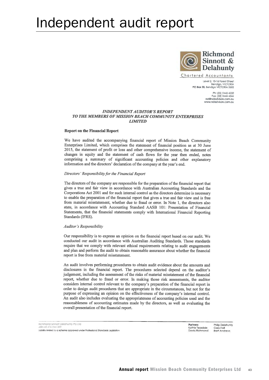## Independent audit report



Chartered Accountants Level 2, 10-16 Forest Street Bendige, VICTORIA<br>PO Box 30, Bendige VICTORIA 3552

> Ph: (03) 5445 4200 Fax: (03) 5444 4344 rsd@rsdadvisors.com.au www.rsdadvisors.com.au

#### **INDEPENDENT AUDITOR'S REPORT** TO THE MEMBERS OF MISSION BEACH COMMUNITY ENTERPRISES **LIMITED**

#### **Report on the Financial Report**

We have audited the accompanying financial report of Mission Beach Community Enterprises Limited, which comprises the statement of financial position as at 30 June 2015, the statement of profit or loss and other comprehensive income, the statement of changes in equity and the statement of cash flows for the year then ended, notes comprising a summary of significant accounting policies and other explanatory information and the directors' declaration of the company at the year's end.

#### Directors' Responsibility for the Financial Report

The directors of the company are responsible for the preparation of the financial report that gives a true and fair view in accordance with Australian Accounting Standards and the Corporations Act 2001 and for such internal control as the directors determine is necessary to enable the preparation of the financial report that gives a true and fair view and is free from material misstatement, whether due to fraud or error. In Note 1, the directors also state, in accordance with Accounting Standard AASB 101: Presentation of Financial Statements, that the financial statements comply with International Financial Reporting Standards (IFRS).

#### **Auditor's Responsibility**

Our responsibility is to express an opinion on the financial report based on our audit. We conducted our audit in accordance with Australian Auditing Standards. Those standards require that we comply with relevant ethical requirements relating to audit engagements and plan and perform the audit to obtain reasonable assurance about whether the financial report is free from material misstatement.

An audit involves performing procedures to obtain audit evidence about the amounts and disclosures in the financial report. The procedures selected depend on the auditor's judgement, including the assessment of the risks of material misstatement of the financial report, whether due to fraud or error. In making those risk assessments, the auditor considers internal control relevant to the company's preparation of the financial report in order to design audit procedures that are appropriate in the circumstances, but not for the purpose of expressing an opinion on the effectiveness of the company's internal control. An audit also includes evaluating the appropriateness of accounting policies used and the reasonableness of accounting estimates made by the directors, as well as evaluating the overall presentation of the financial report.

Partners: Kathie Teasdale<br>David Richmond

**Philip Delahunty** Cara Hall **Rratt Androws**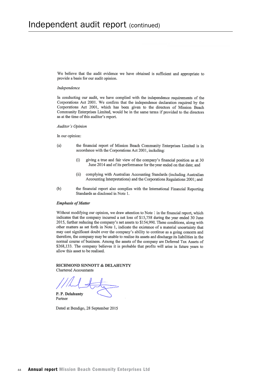We believe that the audit evidence we have obtained is sufficient and appropriate to provide a basis for our audit opinion.

#### Independence

In conducting our audit, we have complied with the independence requirements of the Corporations Act 2001. We confirm that the independence declaration required by the Corporations Act 2001, which has been given to the directors of Mission Beach Community Enterprises Limited, would be in the same terms if provided to the directors as at the time of this auditor's report.

#### **Auditor's Opinion**

In our opinion:

- $(a)$ the financial report of Mission Beach Community Enterprises Limited is in accordance with the Corporations Act 2001, including:
	- giving a true and fair view of the company's financial position as at 30  $(i)$ June 2014 and of its performance for the year ended on that date; and
	- $(ii)$ complying with Australian Accounting Standards (including Australian Accounting Interpretations) and the Corporations Regulations 2001; and
- $(b)$ the financial report also complies with the International Financial Reporting Standards as disclosed in Note 1.

#### **Emphasis of Matter**

Without modifying our opinion, we draw attention to Note 1 in the financial report, which indicates that the company incurred a net loss of \$15,758 during the year ended 30 June 2015, further reducing the company's net assets to \$154,990. These conditions, along with other matters as set forth in Note 1, indicate the existence of a material uncertainty that may cast significant doubt over the company's ability to continue as a going concern and therefore, the company may be unable to realise its assets and discharge its liabilities in the normal course of business. Among the assets of the company are Deferred Tax Assets of \$268,133. The company believes it is probable that profits will arise in future years to allow this asset to be realised.

#### RICHMOND SINNOTT & DELAHUNTY **Chartered Accountants**

P. P. Delahunty

Partner

Dated at Bendigo, 28 September 2015